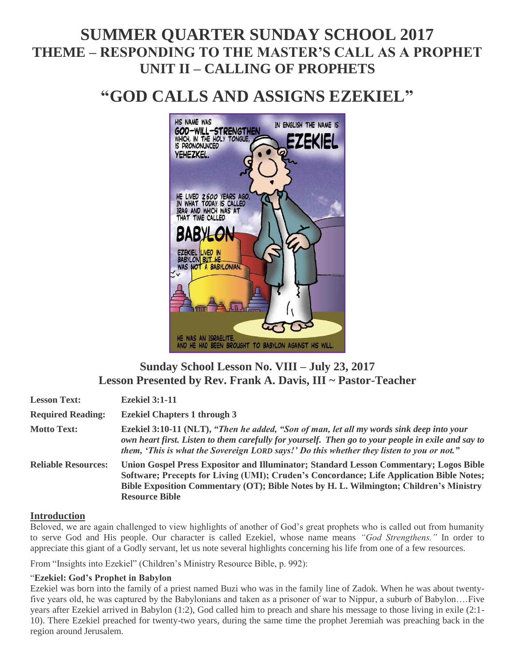# **SUMMER QUARTER SUNDAY SCHOOL 2017 THEME – RESPONDING TO THE MASTER'S CALL AS A PROPHET UNIT II – CALLING OF PROPHETS**

# **"GOD CALLS AND ASSIGNS EZEKIEL"**



## **Sunday School Lesson No. VIII – July 23, 2017 Lesson Presented by Rev. Frank A. Davis, III ~ Pastor-Teacher**

| <b>Lesson Text:</b>        | <b>Ezekiel 3:1-11</b>                                                                                                                                                                                                                                                                                |
|----------------------------|------------------------------------------------------------------------------------------------------------------------------------------------------------------------------------------------------------------------------------------------------------------------------------------------------|
| <b>Required Reading:</b>   | <b>Ezekiel Chapters 1 through 3</b>                                                                                                                                                                                                                                                                  |
| <b>Motto Text:</b>         | Ezekiel 3:10-11 (NLT), "Then he added, "Son of man, let all my words sink deep into your<br>own heart first. Listen to them carefully for yourself. Then go to your people in exile and say to<br>them, 'This is what the Sovereign LORD says!' Do this whether they listen to you or not."          |
| <b>Reliable Resources:</b> | Union Gospel Press Expositor and Illuminator; Standard Lesson Commentary; Logos Bible<br>Software; Precepts for Living (UMI); Cruden's Concordance; Life Application Bible Notes;<br>Bible Exposition Commentary (OT); Bible Notes by H. L. Wilmington; Children's Ministry<br><b>Resource Bible</b> |

#### **Introduction**

Beloved, we are again challenged to view highlights of another of God's great prophets who is called out from humanity to serve God and His people. Our character is called Ezekiel, whose name means *"God Strengthens."* In order to appreciate this giant of a Godly servant, let us note several highlights concerning his life from one of a few resources.

From "Insights into Ezekiel" (Children's Ministry Resource Bible, p. 992):

#### "**Ezekiel: God's Prophet in Babylon**

Ezekiel was born into the family of a priest named Buzi who was in the family line of Zadok. When he was about twentyfive years old, he was captured by the Babylonians and taken as a prisoner of war to Nippur, a suburb of Babylon….Five years after Ezekiel arrived in Babylon (1:2), God called him to preach and share his message to those living in exile (2:1- 10). There Ezekiel preached for twenty-two years, during the same time the prophet Jeremiah was preaching back in the region around Jerusalem.